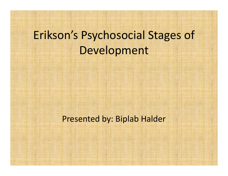# Erikson's Psychosocial Stages of Development Development<br>Presented by: Biplab Halder<br>Presented by: Biplab Halder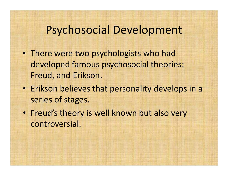# Psychosocial Development

- There were two psychologists who had developed famous psychosocial theories: Freud, and Erikson.
- Erikson believes that personality develops in a series of stages.
- Freud's theory is well known but also very controversial.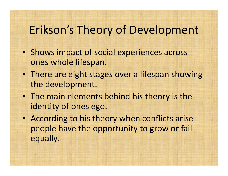# Erikson's Theory of Development

- Shows impact of social experiences across ones whole lifespan.
- There are eight stages over a lifespan showing the development.
- The main elements behind his theory is the identity of ones ego.
- According to his theory when conflicts arise people have the opportunity to grow or fail equally.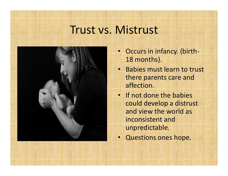#### Trust vs. Mistrust



- Occurs in infancy. (birth-18 months).
- Babies must learn to trust there parents care and affection.
- If not done the babies could develop a distrust and view the world as inconsistent and unpredictable.
- Questions ones hope.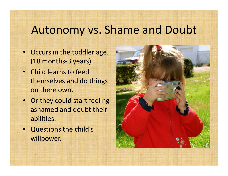#### Autonomy vs. Shame and Doubt

- Occurs in the toddler age. (18 months-3 years).
- Child learns to feed themselves and do things on there own.
- Or they could start feeling ashamed and doubt their abilities.
- Questions the child's willpower.

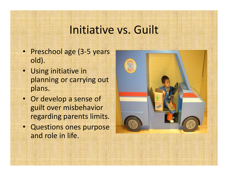## Initiative vs. Guilt

- Preschool age (3-5 years old).
- Using initiative in planning or carrying out plans.
- Or develop a sense of guilt over misbehavior regarding parents limits.
- Questions ones purpose and role in life.

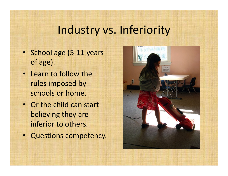# Industry vs. Inferiority

- School age (5-11 years of age).
- Learn to follow the rules imposed by schools or home.
- Or the child can start believing they are inferior to others.
- Questions competency.

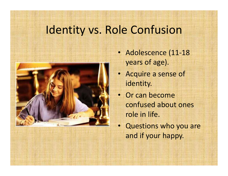# Identity vs. Role Confusion



- Adolescence (11-18 years of age).
- Acquire a sense of identity.
- Or can become confused about ones role in life.
- Questions who you are and if your happy.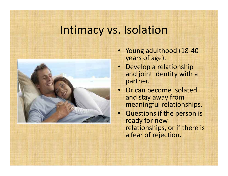#### Intimacy vs. Isolation



- Young adulthood (18-40 years of age).
- Develop a relationship and joint identity with a partner.
- Or can become isolated and stay away from meaningful relationships.
- Questions if the person is ready for new relationships, or if there is a fear of rejection.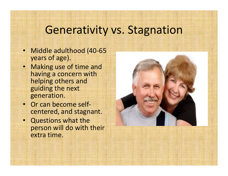#### Generativity vs. Stagnation

- Middle adulthood (40-65 years of age).
- Making use of time and having a concern with helping others and guiding the next generation.
- Or can become selfcentered, and stagnant.
- Questions what the person will do with their extra time.

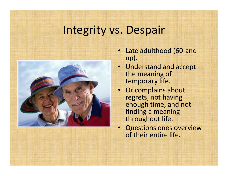# Integrity vs. Despair



- Late adulthood (60-and up).
- Understand and accept the meaning of temporary life.
- Or complains about regrets, not having enough time, and not finding a meaning throughout life.
- Questions ones overview of their entire life.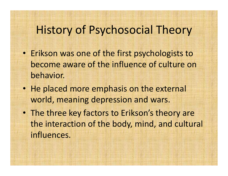## History of Psychosocial Theory

- Erikson was one of the first psychologists to become aware of the influence of culture on behavior.
- He placed more emphasis on the external world, meaning depression and wars.
- The three key factors to Erikson's theory are the interaction of the body, mind, and cultural influences.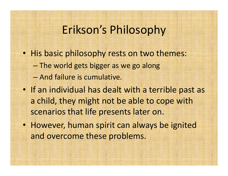# Erikson's Philosophy

- His basic philosophy rests on two themes:
	- The world gets bigger as we go along
	- And failure is cumulative.
- If an individual has dealt with a terrible past as a child, they might not be able to cope with scenarios that life presents later on.
- However, human spirit can always be ignited and overcome these problems.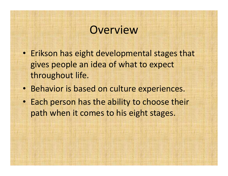#### **Overview**

- Erikson has eight developmental stages that gives people an idea of what to expect throughout life.
- Behavior is based on culture experiences.
- Each person has the ability to choose their path when it comes to his eight stages.